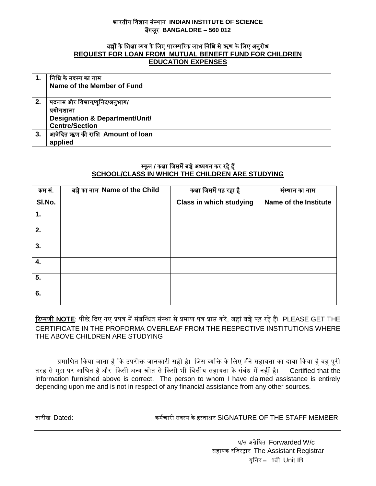## भारतीय विज्ञान संस्थान **INDIAN INSTITUTE OF SCIENCE** बेंगलूर **BANGALORE – 560 012**

## <u>बच्चों के शिक्षा व्यय के लिए पारस्परिक लाभ निधि से ऋण के लिए अनुरोध</u> **REQUEST FOR LOAN FROM MUTUAL BENEFIT FUND FOR CHILDREN EDUCATION EXPENSES**

|    | निधि के सदस्य का नाम                      |  |
|----|-------------------------------------------|--|
|    | Name of the Member of Fund                |  |
|    |                                           |  |
| 2. | पदनाम और विभाग/यूनिट/अनुभाग/              |  |
|    | प्रयोगशाला                                |  |
|    | <b>Designation &amp; Department/Unit/</b> |  |
|    | <b>Centre/Section</b>                     |  |
| 3. | आवेदित ऋण की राशि Amount of loan          |  |
|    | applied                                   |  |

## <u>स्कूल / कक्षा जिसमें बच्चे अध्ययन कर रहे हैं</u> **SCHOOL/CLASS IN WHICH THE CHILDREN ARE STUDYING**

| क्रम सं.       | बच्चे का नाम Name of the Child | कक्षा जिसमें पढ़ रहा है        | संस्थान का नाम        |
|----------------|--------------------------------|--------------------------------|-----------------------|
| SI.No.         |                                | <b>Class in which studying</b> | Name of the Institute |
| $\mathbf{1}$ . |                                |                                |                       |
| 2.             |                                |                                |                       |
| 3.             |                                |                                |                       |
| 4.             |                                |                                |                       |
| 5.             |                                |                                |                       |
| 6.             |                                |                                |                       |

रिप्पणी NOTE: पीछे दिए गए प्रपत्र में संबन्धित संस्था से प्रमाण पत्र प्राप्त करें, जहां बच्चे पढ़ रहे हैं। PLEASE GET THE CERTIFICATE IN THE PROFORMA OVERLEAF FROM THE RESPECTIVE INSTITUTIONS WHERE THE ABOVE CHILDREN ARE STUDYING

प्रमाणित किया जाता है कि उपरोक्त जानकारी सही है। जिस व्यक्ति के लिए मैंने सहायता का दावा किया है वह पूरी तरह से मुझ पर आश्रित है और किसी अन्य स्रोत से किसी भी वित्तीय सहायता के संबंध में नहीं है। Certified that the information furnished above is correct. The person to whom I have claimed assistance is entirely depending upon me and is not in respect of any financial assistance from any other sources.

तारीख Dated: कममचारी सदस्य के हस्ताक्षर SIGNATURE OF THE STAFF MEMBER